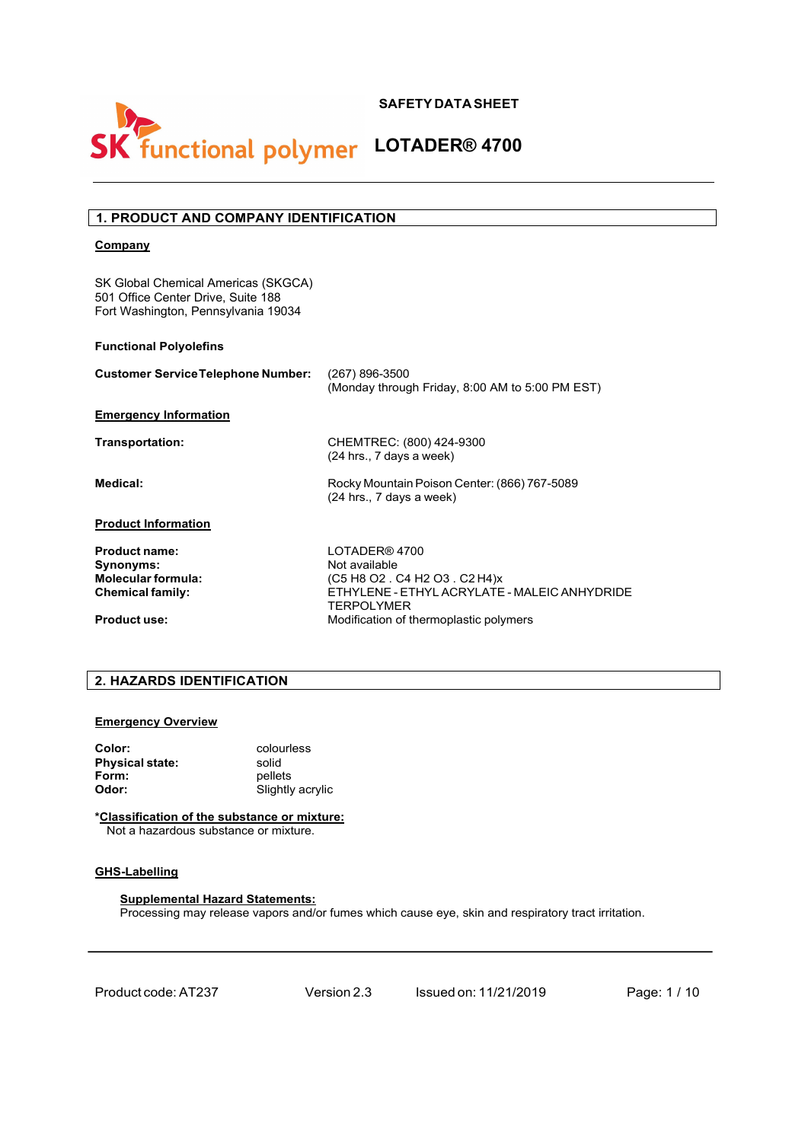

# **SK** functional polymer LOTADER® 4700

# **1. PRODUCT AND COMPANY IDENTIFICATION**

# **Company**

SK Global Chemical Americas (SKGCA) 501 Office Center Drive, Suite 188 Fort Washington, Pennsylvania 19034

# **Functional Polyolefins**

| <b>Customer Service Telephone Number:</b> | (267) 896-3500<br>(Monday through Friday, 8:00 AM to 5:00 PM EST)          |
|-------------------------------------------|----------------------------------------------------------------------------|
| <b>Emergency Information</b>              |                                                                            |
| Transportation:                           | CHEMTREC: (800) 424-9300<br>$(24$ hrs., 7 days a week)                     |
| Medical:                                  | Rocky Mountain Poison Center: (866) 767-5089<br>$(24$ hrs., 7 days a week) |
| <b>Product Information</b>                |                                                                            |
| <b>Product name:</b>                      | LOTADER® 4700                                                              |
| Synonyms:                                 | Not available                                                              |
| <b>Molecular formula:</b>                 | (C5 H8 O2 . C4 H2 O3 . C2 H4)x                                             |
| <b>Chemical family:</b>                   | ETHYLENE - ETHYL ACRYLATE - MALEIC ANHYDRIDE<br>TERPOLYMER                 |
| <b>Product use:</b>                       | Modification of thermoplastic polymers                                     |

# **2. HAZARDS IDENTIFICATION**

## **Emergency Overview**

| Color:                 | colourless       |
|------------------------|------------------|
| <b>Physical state:</b> | solid            |
| Form:                  | pellets          |
| Odor:                  | Slightly acrylic |

## **\*Classification of the substance or mixture:**

Not a hazardous substance or mixture.

# **GHS-Labelling**

# **Supplemental Hazard Statements:**

Processing may release vapors and/or fumes which cause eye, skin and respiratory tract irritation.

Product code:AT237 Version 2.3 Issued on: 11/21/2019 Page: 1 / 10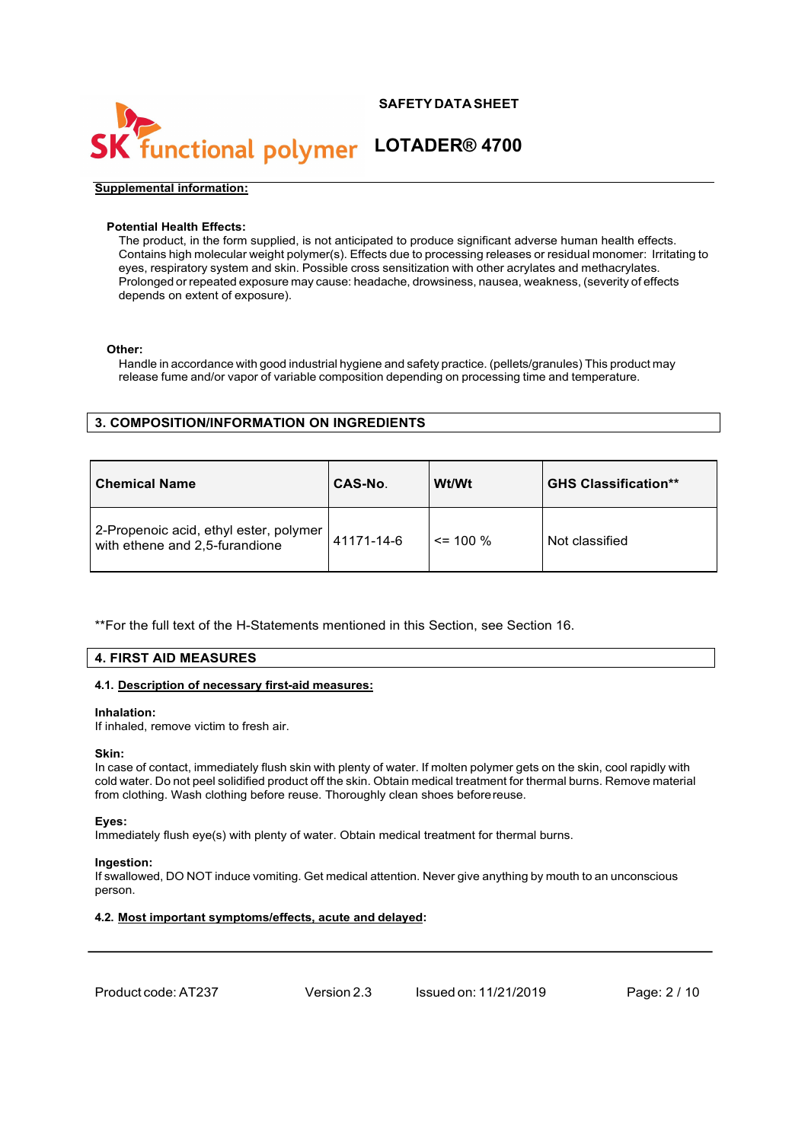

# functional polymer LOTADER® 4700

### **Supplemental information:**

# **Potential Health Effects:**

The product, in the form supplied, is not anticipated to produce significant adverse human health effects. Contains high molecular weight polymer(s). Effects due to processing releases or residual monomer: Irritating to eyes, respiratory system and skin. Possible cross sensitization with other acrylates and methacrylates. Prolonged or repeated exposure may cause: headache, drowsiness, nausea, weakness, (severity of effects depends on extent of exposure).

## **Other:**

Handle in accordance with good industrial hygiene and safety practice. (pellets/granules) This product may release fume and/or vapor of variable composition depending on processing time and temperature.

# **3. COMPOSITION/INFORMATION ON INGREDIENTS**

| <b>Chemical Name</b>                                                     | CAS-No.    | Wt/Wt       | <b>GHS Classification**</b> |  |
|--------------------------------------------------------------------------|------------|-------------|-----------------------------|--|
| 2-Propenoic acid, ethyl ester, polymer<br>with ethene and 2,5-furandione | 41171-14-6 | $\le$ 100 % | Not classified              |  |

\*\*For the full text of the H-Statements mentioned in this Section, see Section 16.

# **4. FIRST AID MEASURES**

# **4.1. Description of necessary first-aid measures:**

## **Inhalation:**

If inhaled, remove victim to fresh air.

## **Skin:**

In case of contact, immediately flush skin with plenty of water. If molten polymer gets on the skin, cool rapidly with cold water. Do not peel solidified product off the skin. Obtain medical treatment for thermal burns. Remove material from clothing. Wash clothing before reuse. Thoroughly clean shoes beforereuse.

## **Eyes:**

Immediately flush eye(s) with plenty of water. Obtain medical treatment for thermal burns.

## **Ingestion:**

If swallowed, DO NOT induce vomiting. Get medical attention. Never give anything by mouth to an unconscious person.

# **4.2. Most important symptoms/effects, acute and delayed:**

Product code:AT237 Version 2.3 Issued on: 11/21/2019 Page: 2 / 10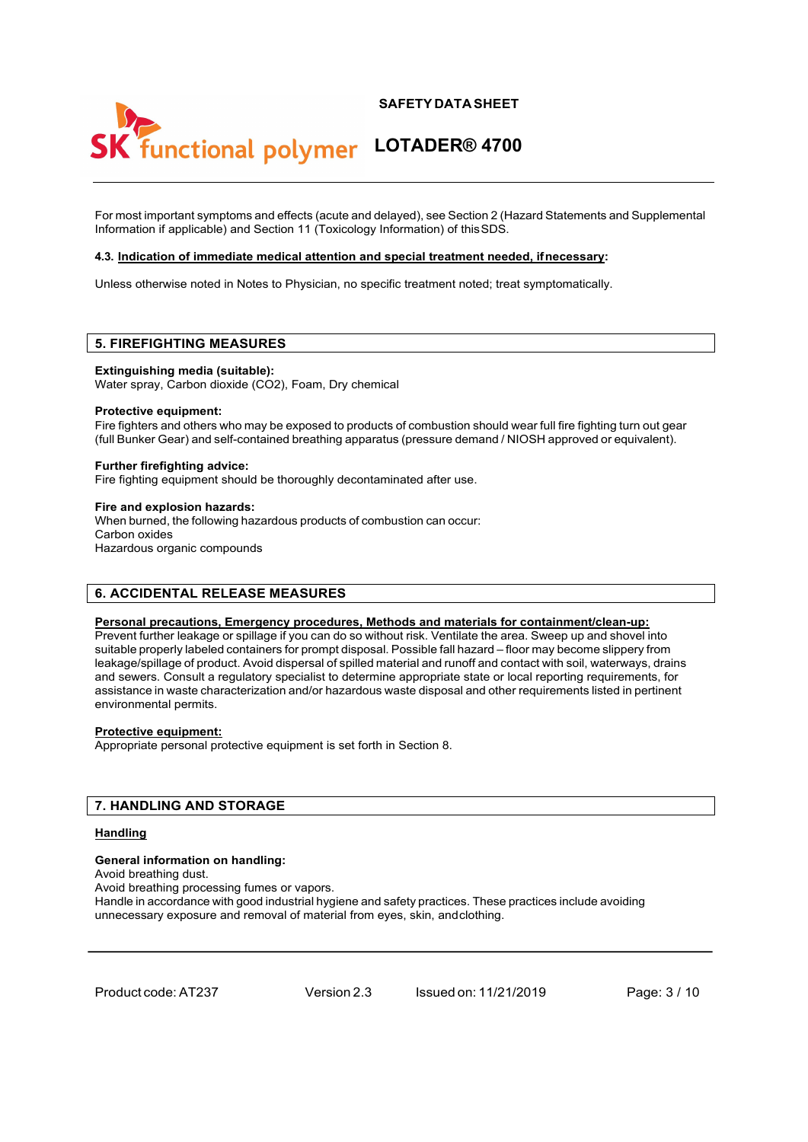# functional polymer LOTADER® 4700

For most important symptoms and effects (acute and delayed), see Section 2 (Hazard Statements and Supplemental Information if applicable) and Section 11 (Toxicology Information) of thisSDS.

## **4.3. Indication of immediate medical attention and special treatment needed, ifnecessary:**

Unless otherwise noted in Notes to Physician, no specific treatment noted; treat symptomatically.

# **5. FIREFIGHTING MEASURES**

#### **Extinguishing media (suitable):**

Water spray, Carbon dioxide (CO2), Foam, Dry chemical

### **Protective equipment:**

Fire fighters and others who may be exposed to products of combustion should wear full fire fighting turn out gear (full Bunker Gear) and self-contained breathing apparatus (pressure demand / NIOSH approved or equivalent).

#### **Further firefighting advice:**

Fire fighting equipment should be thoroughly decontaminated after use.

#### **Fire and explosion hazards:**

When burned, the following hazardous products of combustion can occur: Carbon oxides Hazardous organic compounds

# **6. ACCIDENTAL RELEASE MEASURES**

#### **Personal precautions, Emergency procedures, Methods and materials for containment/clean-up:**

Prevent further leakage or spillage if you can do so without risk. Ventilate the area. Sweep up and shovel into suitable properly labeled containers for prompt disposal. Possible fall hazard – floor may become slippery from leakage/spillage of product. Avoid dispersal of spilled material and runoff and contact with soil, waterways, drains and sewers. Consult a regulatory specialist to determine appropriate state or local reporting requirements, for assistance in waste characterization and/or hazardous waste disposal and other requirements listed in pertinent environmental permits.

#### **Protective equipment:**

Appropriate personal protective equipment is set forth in Section 8.

# **7. HANDLING AND STORAGE**

#### **Handling**

#### **General information on handling:**

Avoid breathing dust.

Avoid breathing processing fumes or vapors.

Handle in accordance with good industrial hygiene and safety practices. These practices include avoiding unnecessary exposure and removal of material from eyes, skin, andclothing.

Product code:AT237 Version 2.3 Issued on: 11/21/2019 Page: 3 / 10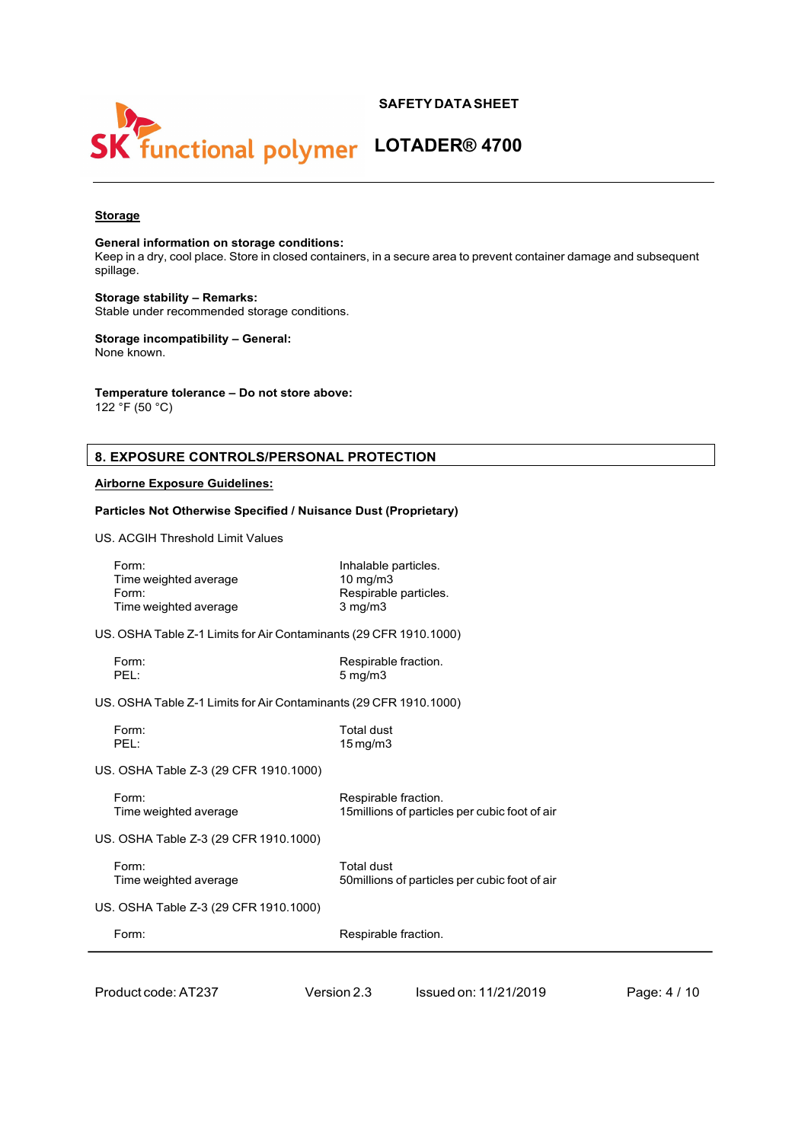



# **Storage**

**General information on storage conditions:**

Keep in a dry, cool place. Store in closed containers, in a secure area to prevent container damage and subsequent spillage.

**Storage stability – Remarks:** Stable under recommended storage conditions.

**Storage incompatibility – General:** None known.

**Temperature tolerance – Do not store above:**

122  $\degree$ F (50  $\degree$ C)

# **8. EXPOSURE CONTROLS/PERSONAL PROTECTION**

**Particles Not Otherwise Specified / Nuisance Dust (Proprietary)**

# **Airborne Exposure Guidelines:**

| US. ACGIH Threshold Limit Values                                  |                                                                                |
|-------------------------------------------------------------------|--------------------------------------------------------------------------------|
| Form:<br>Time weighted average<br>Form:<br>Time weighted average  | Inhalable particles.<br>$10$ mg/m $3$<br>Respirable particles.<br>$3$ mg/m $3$ |
| US. OSHA Table Z-1 Limits for Air Contaminants (29 CFR 1910.1000) |                                                                                |
| Form:<br>PEL:                                                     | Respirable fraction.<br>$5 \text{ mg/m}$                                       |
| US. OSHA Table Z-1 Limits for Air Contaminants (29 CFR 1910.1000) |                                                                                |
| Form:<br>PEL:                                                     | <b>Total dust</b><br>$15$ mg/m $3$                                             |
| US. OSHA Table Z-3 (29 CFR 1910.1000)                             |                                                                                |
| Form:<br>Time weighted average                                    | Respirable fraction.<br>15 millions of particles per cubic foot of air         |
| US. OSHA Table Z-3 (29 CFR 1910.1000)                             |                                                                                |
| Form:<br>Time weighted average                                    | <b>Total dust</b><br>50 millions of particles per cubic foot of air            |
| US. OSHA Table Z-3 (29 CFR 1910.1000)                             |                                                                                |
| Form:                                                             | Respirable fraction.                                                           |
|                                                                   |                                                                                |

Product code:AT237 Version 2.3 Issued on: 11/21/2019 Page: 4 / 10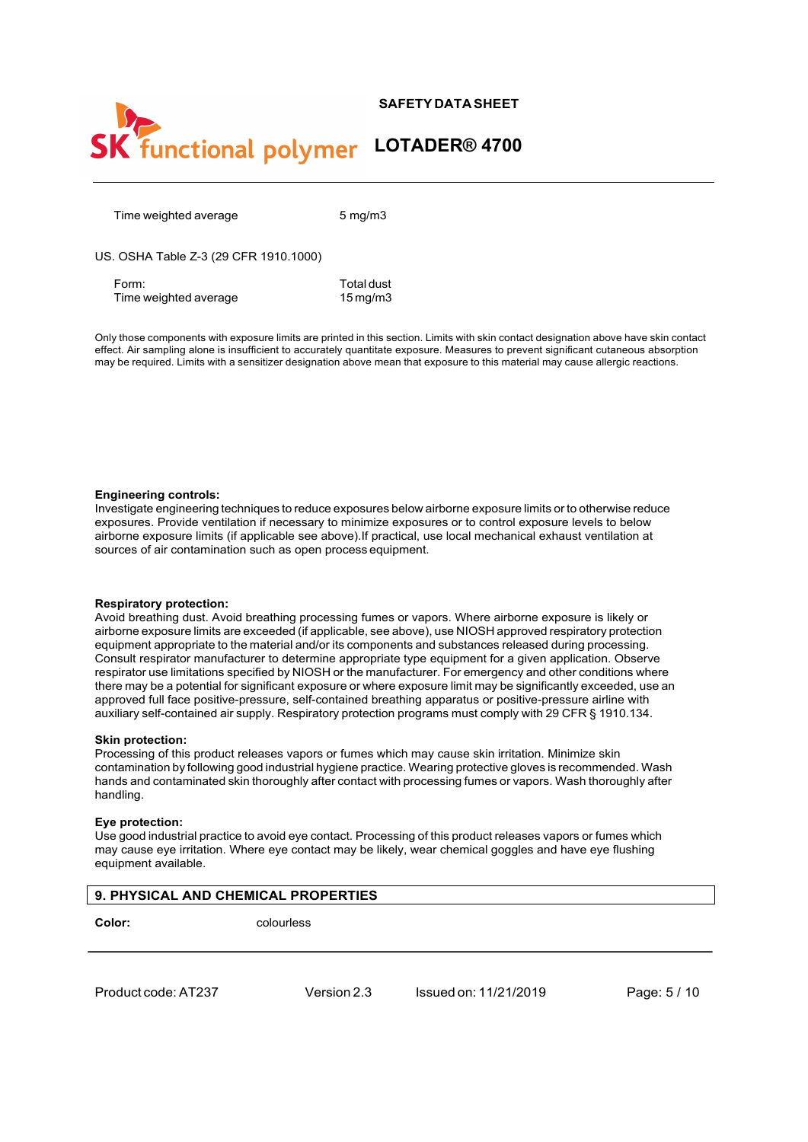



Time weighted average 5 mg/m3

US. OSHA Table Z-3 (29 CFR 1910.1000)

Form: Total dust<br>Time weighted average Time 15 mg/m3 Time weighted average

Only those components with exposure limits are printed in this section. Limits with skin contact designation above have skin contact effect. Air sampling alone is insufficient to accurately quantitate exposure. Measures to prevent significant cutaneous absorption may be required. Limits with a sensitizer designation above mean that exposure to this material may cause allergic reactions.

### **Engineering controls:**

Investigate engineering techniques to reduce exposures below airborne exposure limits or to otherwise reduce exposures. Provide ventilation if necessary to minimize exposures or to control exposure levels to below airborne exposure limits (if applicable see above).If practical, use local mechanical exhaust ventilation at sources of air contamination such as open process equipment.

#### **Respiratory protection:**

Avoid breathing dust. Avoid breathing processing fumes or vapors. Where airborne exposure is likely or airborne exposure limits are exceeded (if applicable, see above), use NIOSH approved respiratory protection equipment appropriate to the material and/or its components and substances released during processing. Consult respirator manufacturer to determine appropriate type equipment for a given application. Observe respirator use limitations specified by NIOSH or the manufacturer. For emergency and other conditions where there may be a potential for significant exposure or where exposure limit may be significantly exceeded, use an approved full face positive-pressure, self-contained breathing apparatus or positive-pressure airline with auxiliary self-contained air supply. Respiratory protection programs must comply with 29 CFR § 1910.134.

## **Skin protection:**

Processing of this product releases vapors or fumes which may cause skin irritation. Minimize skin contamination by following good industrial hygiene practice. Wearing protective gloves is recommended. Wash hands and contaminated skin thoroughly after contact with processing fumes or vapors. Wash thoroughly after handling.

#### **Eye protection:**

Use good industrial practice to avoid eye contact. Processing of this product releases vapors or fumes which may cause eye irritation. Where eye contact may be likely, wear chemical goggles and have eye flushing equipment available.

| <b>9. PHYSICAL AND CHEMICAL PROPERTIES</b> |            |  |  |  |
|--------------------------------------------|------------|--|--|--|
| Color:                                     | colourless |  |  |  |

Product code:AT237 Version 2.3 Issued on: 11/21/2019 Page: 5 / 10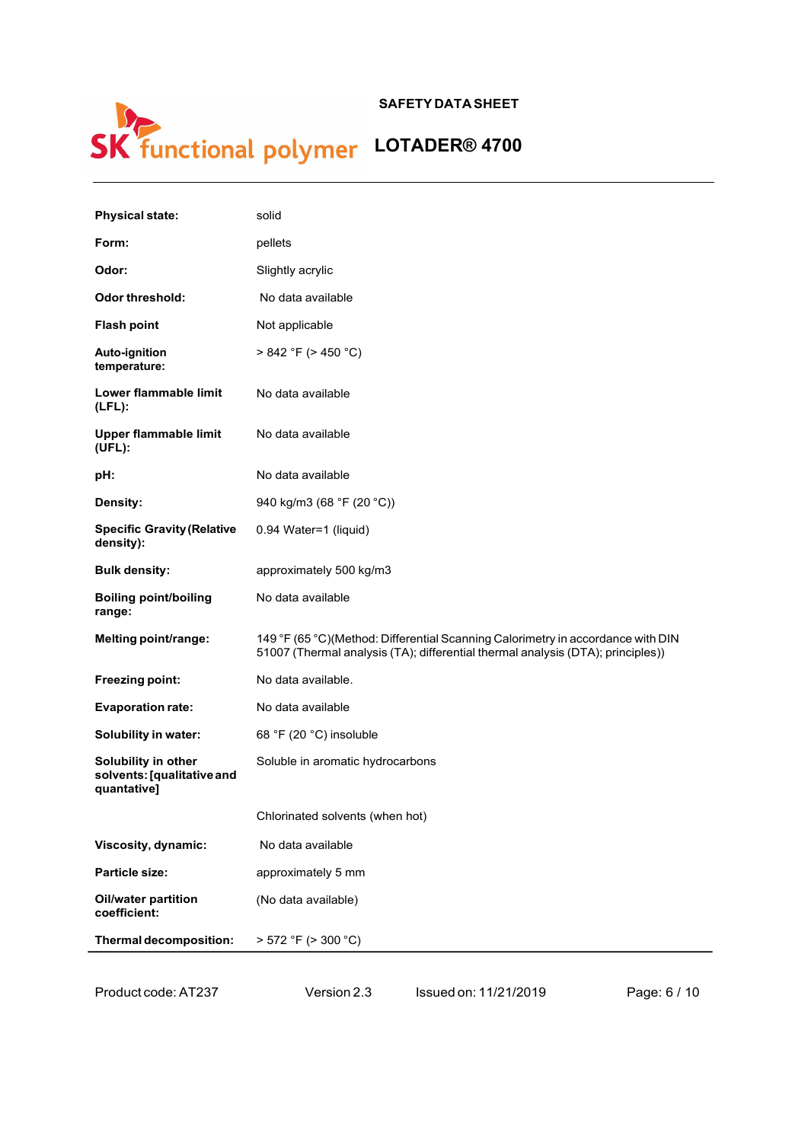

| <b>Physical state:</b>                                           | solid                                                                                                                                                              |
|------------------------------------------------------------------|--------------------------------------------------------------------------------------------------------------------------------------------------------------------|
| Form:                                                            | pellets                                                                                                                                                            |
| Odor:                                                            | Slightly acrylic                                                                                                                                                   |
| <b>Odor threshold:</b>                                           | No data available                                                                                                                                                  |
| <b>Flash point</b>                                               | Not applicable                                                                                                                                                     |
| Auto-ignition<br>temperature:                                    | > 842 °F (> 450 °C)                                                                                                                                                |
| Lower flammable limit<br>$(LFL)$ :                               | No data available                                                                                                                                                  |
| Upper flammable limit<br>(UEL):                                  | No data available                                                                                                                                                  |
| pH:                                                              | No data available                                                                                                                                                  |
| Density:                                                         | 940 kg/m3 (68 °F (20 °C))                                                                                                                                          |
| <b>Specific Gravity (Relative</b><br>density):                   | 0.94 Water=1 (liquid)                                                                                                                                              |
| <b>Bulk density:</b>                                             | approximately 500 kg/m3                                                                                                                                            |
| <b>Boiling point/boiling</b><br>range:                           | No data available                                                                                                                                                  |
| Melting point/range:                                             | 149 °F (65 °C)(Method: Differential Scanning Calorimetry in accordance with DIN<br>51007 (Thermal analysis (TA); differential thermal analysis (DTA); principles)) |
| <b>Freezing point:</b>                                           | No data available.                                                                                                                                                 |
| <b>Evaporation rate:</b>                                         | No data available                                                                                                                                                  |
| <b>Solubility in water:</b>                                      | 68 °F (20 °C) insoluble                                                                                                                                            |
| Solubility in other<br>solvents: [qualitative and<br>quantative] | Soluble in aromatic hydrocarbons                                                                                                                                   |
|                                                                  | Chlorinated solvents (when hot)                                                                                                                                    |
| Viscosity, dynamic:                                              | No data available                                                                                                                                                  |
| Particle size:                                                   | approximately 5 mm                                                                                                                                                 |
| <b>Oil/water partition</b><br>coefficient:                       | (No data available)                                                                                                                                                |
| Thermal decomposition:                                           | > 572 °F (> 300 °C)                                                                                                                                                |

Product code:AT237 Version 2.3 Issued on: 11/21/2019 Page: 6 / 10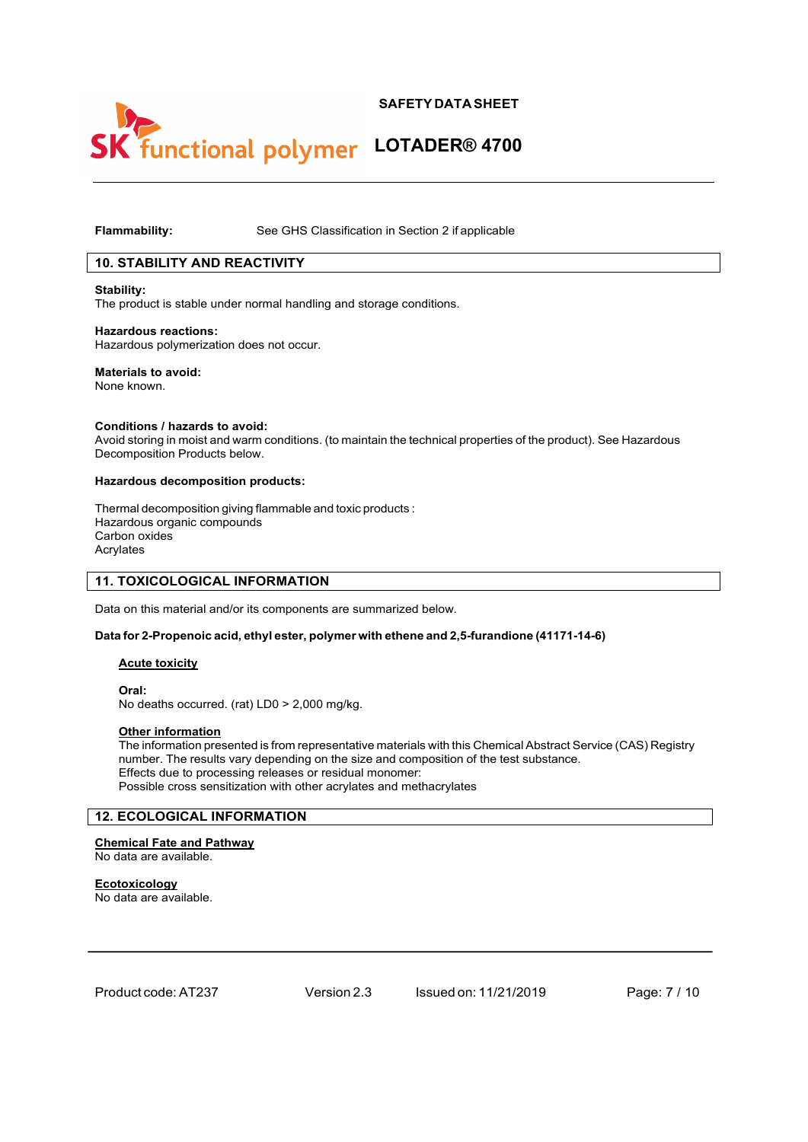

# functional polymer LOTADER® 4700

# **Flammability:** See GHS Classification in Section 2 if applicable

# **10. STABILITY AND REACTIVITY**

#### **Stability:**

The product is stable under normal handling and storage conditions.

### **Hazardous reactions:** Hazardous polymerization does not occur.

# **Materials to avoid:**

None known.

#### **Conditions / hazards to avoid:**

Avoid storing in moist and warm conditions. (to maintain the technical properties of the product). See Hazardous Decomposition Products below.

# **Hazardous decomposition products:**

Thermal decomposition giving flammable and toxic products : Hazardous organic compounds Carbon oxides Acrylates

## **11. TOXICOLOGICAL INFORMATION**

Data on this material and/or its components are summarized below.

## **Data for 2-Propenoic acid, ethyl ester, polymer with ethene and 2,5-furandione (41171-14-6)**

## **Acute toxicity**

**Oral:**

No deaths occurred. (rat) LD0 > 2,000 mg/kg.

# **Other information**

The information presented is from representative materials with this Chemical Abstract Service (CAS) Registry number. The results vary depending on the size and composition of the test substance. Effects due to processing releases or residual monomer: Possible cross sensitization with other acrylates and methacrylates

# **12. ECOLOGICAL INFORMATION**

# **Chemical Fate and Pathway**

No data are available.

## **Ecotoxicology**

No data are available.

Product code:AT237 Version 2.3 Issued on: 11/21/2019 Page: 7 / 10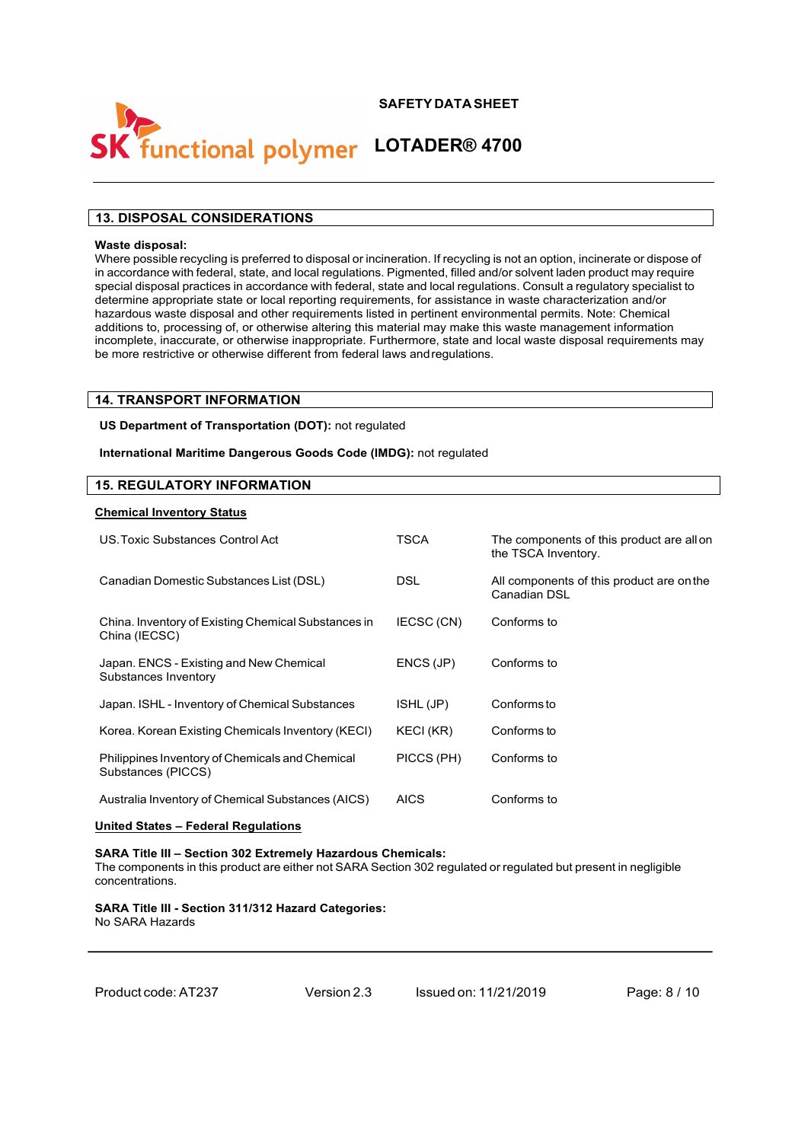

# **functional polymer LOTADER® 4700**

# **13. DISPOSAL CONSIDERATIONS**

## **Waste disposal:**

Where possible recycling is preferred to disposal or incineration. If recycling is not an option, incinerate or dispose of in accordance with federal, state, and local regulations. Pigmented, filled and/or solvent laden product may require special disposal practices in accordance with federal, state and local regulations. Consult a regulatory specialist to determine appropriate state or local reporting requirements, for assistance in waste characterization and/or hazardous waste disposal and other requirements listed in pertinent environmental permits. Note: Chemical additions to, processing of, or otherwise altering this material may make this waste management information incomplete, inaccurate, or otherwise inappropriate. Furthermore, state and local waste disposal requirements may be more restrictive or otherwise different from federal laws andregulations.

# **14. TRANSPORT INFORMATION**

**US Department of Transportation (DOT):** not regulated

**International Maritime Dangerous Goods Code (IMDG):** not regulated

## **15. REGULATORY INFORMATION**

#### **Chemical Inventory Status**

| US. Toxic Substances Control Act                                      | TSCA        | The components of this product are all on<br>the TSCA Inventory. |
|-----------------------------------------------------------------------|-------------|------------------------------------------------------------------|
| Canadian Domestic Substances List (DSL)                               | <b>DSL</b>  | All components of this product are on the<br>Canadian DSL        |
| China. Inventory of Existing Chemical Substances in<br>China (IECSC)  | IECSC (CN)  | Conforms to                                                      |
| Japan. ENCS - Existing and New Chemical<br>Substances Inventory       | ENCS (JP)   | Conforms to                                                      |
| Japan. ISHL - Inventory of Chemical Substances                        | ISHL (JP)   | Conforms to                                                      |
| Korea. Korean Existing Chemicals Inventory (KECI)                     | KECI (KR)   | Conforms to                                                      |
| Philippines Inventory of Chemicals and Chemical<br>Substances (PICCS) | PICCS (PH)  | Conforms to                                                      |
| Australia Inventory of Chemical Substances (AICS)                     | <b>AICS</b> | Conforms to                                                      |

## **United States – Federal Regulations**

**SARA Title III – Section 302 Extremely Hazardous Chemicals:** The components in this product are either not SARA Section 302 regulated or regulated but present in negligible concentrations.

#### **SARA Title III - Section 311/312 Hazard Categories:** No SARA Hazards

Product code:AT237 Version 2.3 Issued on: 11/21/2019 Page: 8 / 10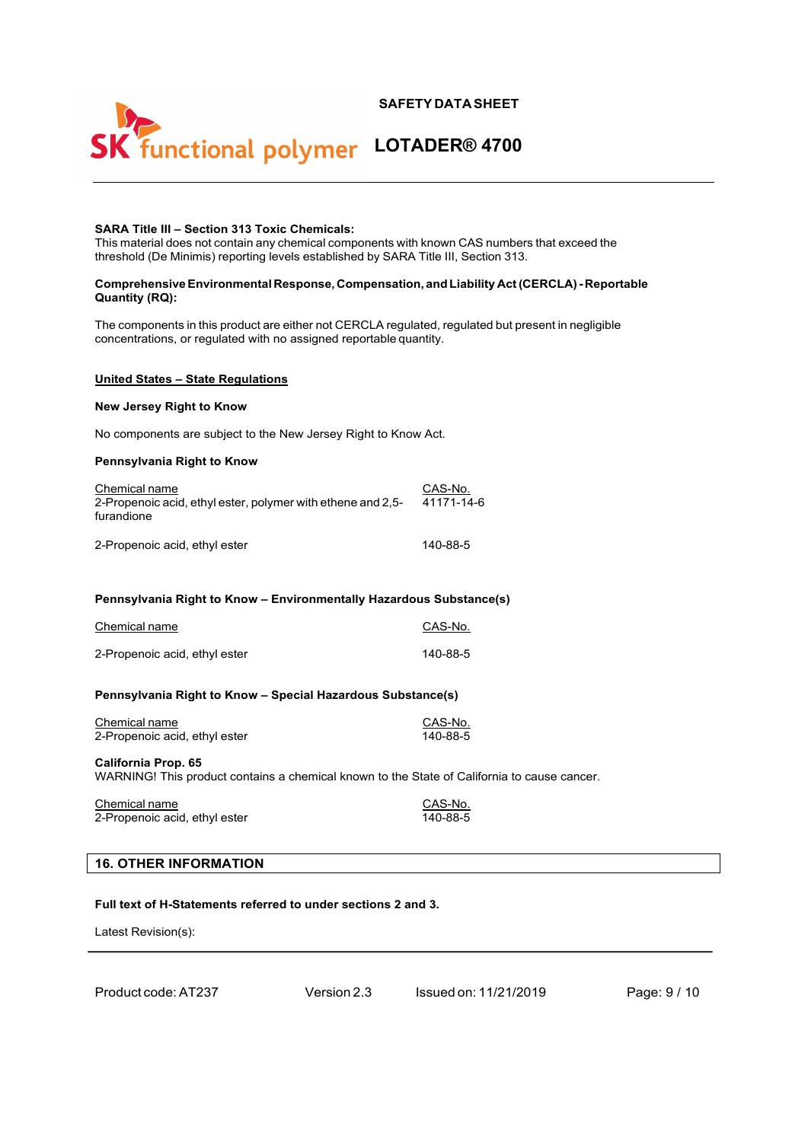

# **SARA Title III – Section 313 Toxic Chemicals:**

This material does not contain any chemical components with known CAS numbers that exceed the threshold (De Minimis) reporting levels established by SARA Title III, Section 313.

### **ComprehensiveEnvironmental Response, Compensation, and Liability Act(CERCLA)- Reportable Quantity (RQ):**

The components in this product are either not CERCLA regulated, regulated but present in negligible concentrations, or regulated with no assigned reportable quantity.

#### **United States – State Regulations**

# **New Jersey Right to Know**

No components are subject to the New Jersey Right to Know Act.

#### **Pennsylvania Right to Know**

| Chemical name<br>2-Propenoic acid, ethyl ester, polymer with ethene and 2,5-<br>furandione | CAS-No.<br>41171-14-6 |  |
|--------------------------------------------------------------------------------------------|-----------------------|--|
| 2-Propenoic acid, ethyl ester                                                              | 140-88-5              |  |

## **Pennsylvania Right to Know – Environmentally Hazardous Substance(s)**

| Chemical name                 | CAS-No.  |
|-------------------------------|----------|
| 2-Propenoic acid, ethyl ester | 140-88-5 |

## **Pennsylvania Right to Know – Special Hazardous Substance(s)**

| Chemical name                 | CAS-No.  |
|-------------------------------|----------|
| 2-Propenoic acid, ethyl ester | 140-88-5 |

### **California Prop. 65**

WARNING! This product contains a chemical known to the State of California to cause cancer.

| Chemical name                 | CAS-No.  |
|-------------------------------|----------|
| 2-Propenoic acid, ethyl ester | 140-88-5 |

#### **16. OTHER INFORMATION**

# **Full text of H-Statements referred to under sections 2 and 3.**

Latest Revision(s):

|  |  |  |  |  |  |  | Product code: AT237 |
|--|--|--|--|--|--|--|---------------------|
|--|--|--|--|--|--|--|---------------------|

Version 2.3 Issued on: 11/21/2019 Page: 9 / 10